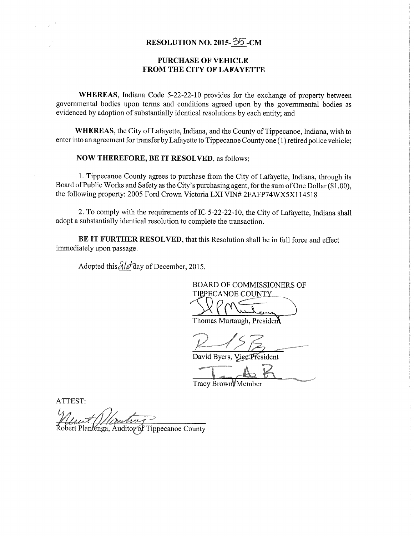## RESOLUTION NO. 2015- $\overline{35}$ -CM

## PURCHASE OF VEHICLE FROM THE CITY OF LAFAYETTE

WHEREAS, Indiana Code 5-22-22-10 provides for the exchange of property between governmental bodies upon terms and conditions agreed upon by the governmental bodies as evidenced by adoption of substantially identical resolutions by each entity; and

WHEREAS, the City of Lafayette, Indiana, and the County of Tippecanoe, Indiana, wish to enter into an agreement for transfer by Lafayette to Tippecanoe County one (1) retired police vehicle;

NOW THEREFORE, BE IT RESOLVED, as follows:

1. Tippecanoe County agrees to purchase from the City of Lafayette, Indiana, through its Board of Public Works and Safety as the City's purchasing agent, for the sum of One Dollar (\$1.00), the following property: 2005 Ford Crown Victoria LXI VIN# 2FAFP74WX5X114518

2. To comply with the requirements of IC 5-22-22—10, the City of Lafayette, Indiana shall adopt <sup>a</sup> substantially identical resolution to complete the transaction.

BE IT FURTHER RESOLVED, that this Resolution shall be in full force and effect immediately upon passage.

Adopted this  $\partial/\partial t$  day of December, 2015.

BOARD OF COMMISSIONERS OF TIPPECANOE COUNTY

Thomas Murtaugh, Presiden

David Byers, VierPresident

Tracy Brown Member

ATTEST:

 $\overline{u}$ .. ' 1w

Robert Plantenga, Auditor of Tippecanoe County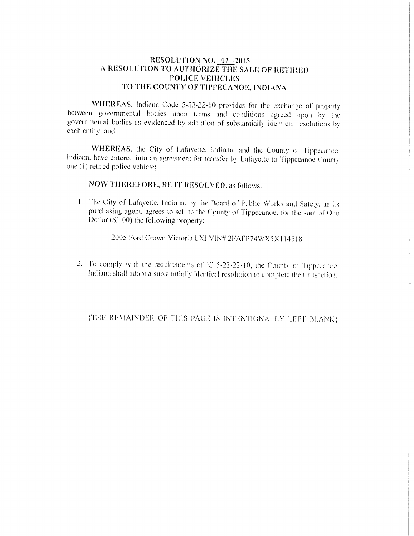## RESOLUTION NO. 07 -2015 A RESOLUTION TO AUTHORIZE THE SALE OF RETIRED **POLICE VEHICLES** TO THE COUNTY OF TIPPECANOE, INDIANA

WHEREAS, Indiana Code 5-22-22-10 provides for the exchange of property between governmental bodies upon terms and conditions agreed upon by the governmental bodies as evidenced by adoption of substantially identical resolutions by each entity: and

WHEREAS, the City of Lafayette, Indiana, and the County of Tippecanoe. Indiana, have entered into an agreement for transfer by Lafayette to Tippecanoe County one (1) retired police vehicle;

NOW THEREFORE, BE IT RESOLVED, as follows:

1. The City of Lafayette, Indiana, by the Board of Public Works and Safety, as its purchasing agent, agrees to sell to the County of Tippecanoe, for the sum of One Dollar (\$1.00) the following property:

2005 Ford Crown Victoria LXI VIN# 2FAFP74WX5X114518

2. To comply with the requirements of IC 5-22-22-10, the County of Tippecanoe. Indiana shall adopt a substantially identical resolution to complete the transaction.

{THE REMAINDER OF THIS PAGE IS INTENTIONALLY LEFT BLANK}